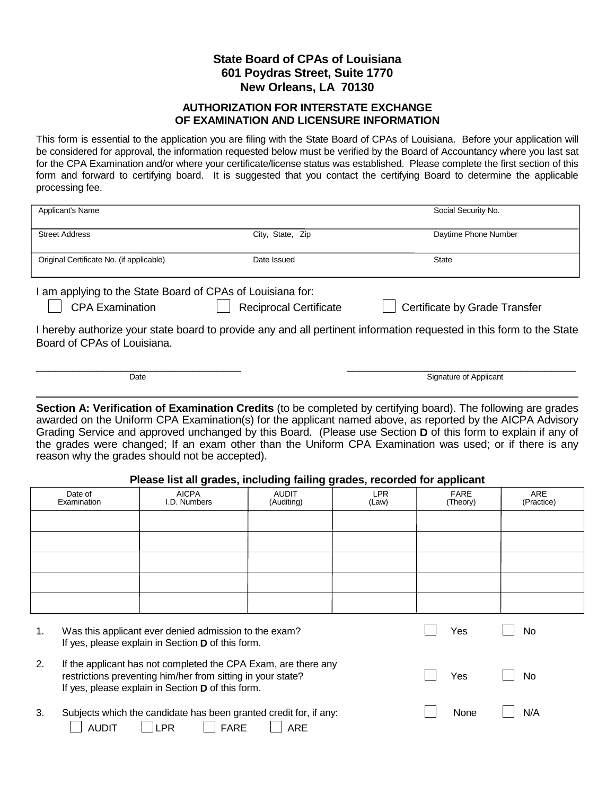## **State Board of CPAs of Louisiana 601 Poydras Street, Suite 1770 New Orleans, LA 70130**

## **AUTHORIZATION FOR INTERSTATE EXCHANGE OF EXAMINATION AND LICENSURE INFORMATION**

This form is essential to the application you are filing with the State Board of CPAs of Louisiana. Before your application will be considered for approval, the information requested below must be verified by the Board of Accountancy where you last sat for the CPA Examination and/or where your certificate/license status was established. Please complete the first section of this form and forward to certifying board. It is suggested that you contact the certifying Board to determine the applicable processing fee.

| Applicant's Name                                                                                                                                     |                  | Social Security No.  |  |  |  |  |
|------------------------------------------------------------------------------------------------------------------------------------------------------|------------------|----------------------|--|--|--|--|
| <b>Street Address</b>                                                                                                                                | City, State, Zip | Daytime Phone Number |  |  |  |  |
| Original Certificate No. (if applicable)                                                                                                             | Date Issued      | <b>State</b>         |  |  |  |  |
| am applying to the State Board of CPAs of Louisiana for:<br><b>CPA Examination</b><br><b>Reciprocal Certificate</b><br>Certificate by Grade Transfer |                  |                      |  |  |  |  |
| I hereby authorize your state board to provide any and all pertinent information requested in this form to the State<br>Board of CPAs of Louisiana.  |                  |                      |  |  |  |  |

 $\overline{a}$ **Section A: Verification of Examination Credits** (to be completed by certifying board). The following are grades awarded on the Uniform CPA Examination(s) for the applicant named above, as reported by the AICPA Advisory Grading Service and approved unchanged by this Board. (Please use Section **D** of this form to explain if any of the grades were changed; If an exam other than the Uniform CPA Examination was used; or if there is any reason why the grades should not be accepted).

Date Signature of Applicant

## **Please list all grades, including failing grades, recorded for applicant**

|    |                                                                                                                                                                                    | ັ                                                                                              | - -                        |                     | . .                     |                   |
|----|------------------------------------------------------------------------------------------------------------------------------------------------------------------------------------|------------------------------------------------------------------------------------------------|----------------------------|---------------------|-------------------------|-------------------|
|    | Date of<br>Examination                                                                                                                                                             | <b>AICPA</b><br>I.D. Numbers                                                                   | <b>AUDIT</b><br>(Auditing) | <b>LPR</b><br>(Law) | <b>FARE</b><br>(Theory) | ARE<br>(Practice) |
|    |                                                                                                                                                                                    |                                                                                                |                            |                     |                         |                   |
|    |                                                                                                                                                                                    |                                                                                                |                            |                     |                         |                   |
|    |                                                                                                                                                                                    |                                                                                                |                            |                     |                         |                   |
|    |                                                                                                                                                                                    |                                                                                                |                            |                     |                         |                   |
|    |                                                                                                                                                                                    |                                                                                                |                            |                     |                         |                   |
| 1. | Was this applicant ever denied admission to the exam?<br>If yes, please explain in Section D of this form.                                                                         |                                                                                                |                            | Yes                 | No                      |                   |
| 2. | If the applicant has not completed the CPA Exam, are there any<br>restrictions preventing him/her from sitting in your state?<br>If yes, please explain in Section D of this form. |                                                                                                |                            |                     | Yes                     | No                |
| 3. | <b>AUDIT</b>                                                                                                                                                                       | Subjects which the candidate has been granted credit for, if any:<br><b>FARE</b><br><b>LPR</b> | <b>ARE</b>                 |                     | None                    | N/A               |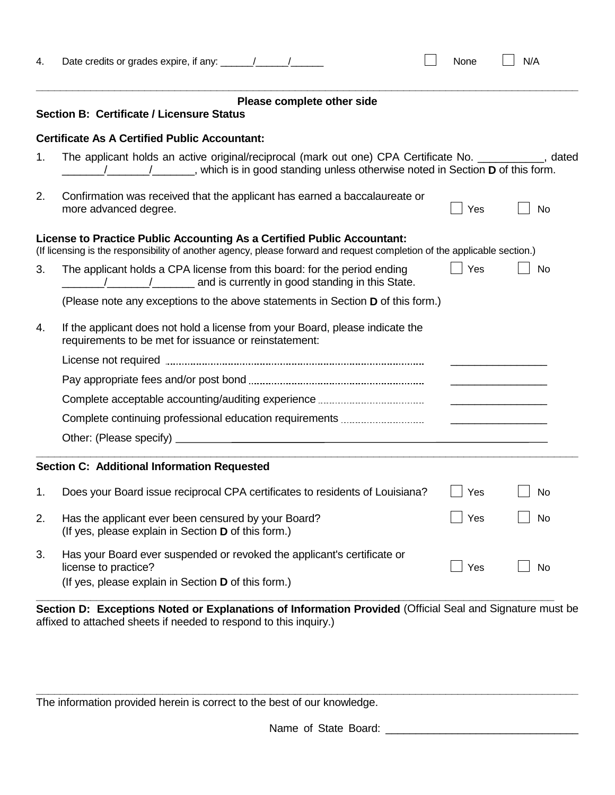| 4. |                                                                                                                                                                                                                      | None | N/A                                                                                                                  |  |  |  |  |  |
|----|----------------------------------------------------------------------------------------------------------------------------------------------------------------------------------------------------------------------|------|----------------------------------------------------------------------------------------------------------------------|--|--|--|--|--|
|    | Please complete other side<br><b>Section B: Certificate / Licensure Status</b>                                                                                                                                       |      |                                                                                                                      |  |  |  |  |  |
|    | <b>Certificate As A Certified Public Accountant:</b>                                                                                                                                                                 |      |                                                                                                                      |  |  |  |  |  |
| 1. | The applicant holds an active original/reciprocal (mark out one) CPA Certificate No. ___________, dated<br>/____________________, which is in good standing unless otherwise noted in Section <b>D</b> of this form. |      |                                                                                                                      |  |  |  |  |  |
| 2. | Confirmation was received that the applicant has earned a baccalaureate or<br>more advanced degree.                                                                                                                  | Yes  | No                                                                                                                   |  |  |  |  |  |
|    | License to Practice Public Accounting As a Certified Public Accountant:<br>(If licensing is the responsibility of another agency, please forward and request completion of the applicable section.)                  |      |                                                                                                                      |  |  |  |  |  |
| 3. | The applicant holds a CPA license from this board: for the period ending<br>/ / / / / and is currently in good standing in this State.                                                                               | Yes  | No                                                                                                                   |  |  |  |  |  |
|    | (Please note any exceptions to the above statements in Section D of this form.)                                                                                                                                      |      |                                                                                                                      |  |  |  |  |  |
| 4. | If the applicant does not hold a license from your Board, please indicate the<br>requirements to be met for issuance or reinstatement:                                                                               |      |                                                                                                                      |  |  |  |  |  |
|    |                                                                                                                                                                                                                      |      |                                                                                                                      |  |  |  |  |  |
|    |                                                                                                                                                                                                                      |      |                                                                                                                      |  |  |  |  |  |
|    |                                                                                                                                                                                                                      |      |                                                                                                                      |  |  |  |  |  |
|    | Complete continuing professional education requirements                                                                                                                                                              |      | <u> Liste de la construcción de la construcción de la construcción de la construcción de la construcción de la c</u> |  |  |  |  |  |
|    |                                                                                                                                                                                                                      |      |                                                                                                                      |  |  |  |  |  |
|    | Section C: Additional Information Requested                                                                                                                                                                          |      |                                                                                                                      |  |  |  |  |  |
| 1. | Does your Board issue reciprocal CPA certificates to residents of Louisiana?                                                                                                                                         | Yes  | No                                                                                                                   |  |  |  |  |  |
| 2. | Has the applicant ever been censured by your Board?<br>(If yes, please explain in Section D of this form.)                                                                                                           | Yes  | No                                                                                                                   |  |  |  |  |  |
| 3. | Has your Board ever suspended or revoked the applicant's certificate or<br>license to practice?<br>(If yes, please explain in Section D of this form.)                                                               | Yes  | <b>No</b>                                                                                                            |  |  |  |  |  |
|    |                                                                                                                                                                                                                      |      |                                                                                                                      |  |  |  |  |  |

**Section D: Exceptions Noted or Explanations of Information Provided** (Official Seal and Signature must be affixed to attached sheets if needed to respond to this inquiry.)

**\_\_\_\_\_\_\_\_\_\_\_\_\_\_\_\_\_\_\_\_\_\_\_\_\_\_\_\_\_\_\_\_\_\_\_\_\_\_\_\_\_\_\_\_\_\_\_\_\_\_\_\_\_\_\_\_\_\_\_\_\_\_\_\_\_\_\_\_\_\_\_\_\_\_\_\_\_\_\_\_\_\_\_\_\_\_\_\_\_\_**

The information provided herein is correct to the best of our knowledge.